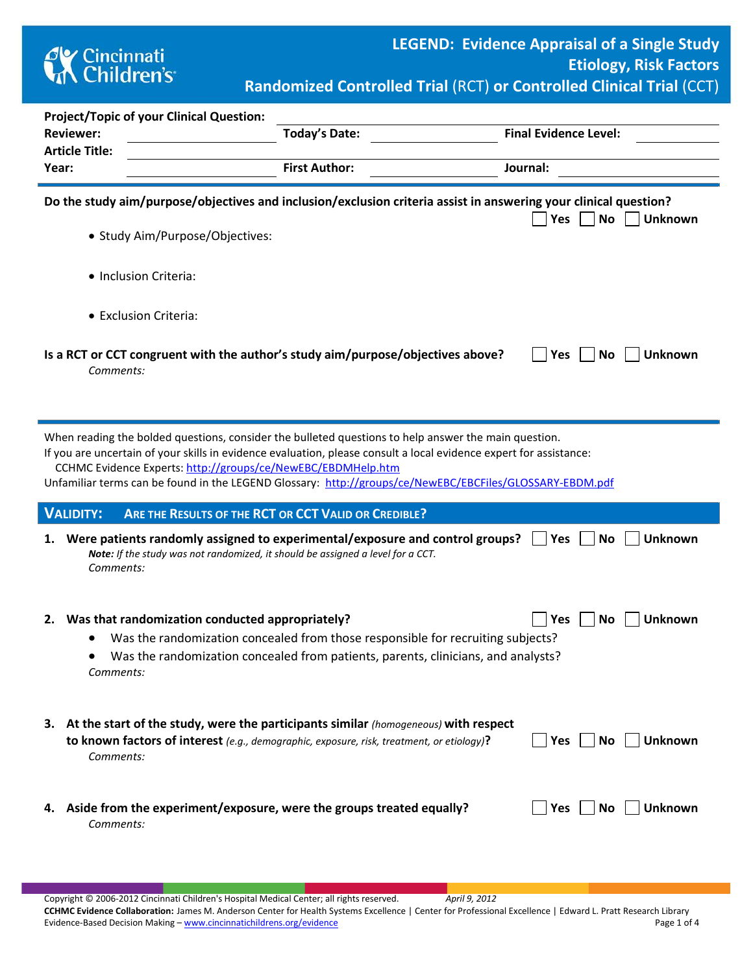

| <b>Project/Topic of your Clinical Question:</b>                                                                                                                                                                                                                                                                                                                                                        |                                                                                                                                                                                                  |                                                                                                                                                                      |                                    |  |  |  |  |  |  |  |  |
|--------------------------------------------------------------------------------------------------------------------------------------------------------------------------------------------------------------------------------------------------------------------------------------------------------------------------------------------------------------------------------------------------------|--------------------------------------------------------------------------------------------------------------------------------------------------------------------------------------------------|----------------------------------------------------------------------------------------------------------------------------------------------------------------------|------------------------------------|--|--|--|--|--|--|--|--|
|                                                                                                                                                                                                                                                                                                                                                                                                        | <b>Reviewer:</b>                                                                                                                                                                                 | <b>Today's Date:</b>                                                                                                                                                 | <b>Final Evidence Level:</b>       |  |  |  |  |  |  |  |  |
|                                                                                                                                                                                                                                                                                                                                                                                                        | <b>Article Title:</b>                                                                                                                                                                            |                                                                                                                                                                      |                                    |  |  |  |  |  |  |  |  |
|                                                                                                                                                                                                                                                                                                                                                                                                        | Year:                                                                                                                                                                                            | <b>First Author:</b>                                                                                                                                                 | Journal:                           |  |  |  |  |  |  |  |  |
|                                                                                                                                                                                                                                                                                                                                                                                                        | Do the study aim/purpose/objectives and inclusion/exclusion criteria assist in answering your clinical question?<br>Yes<br>No<br>Unknown<br>• Study Aim/Purpose/Objectives:                      |                                                                                                                                                                      |                                    |  |  |  |  |  |  |  |  |
|                                                                                                                                                                                                                                                                                                                                                                                                        | • Inclusion Criteria:                                                                                                                                                                            |                                                                                                                                                                      |                                    |  |  |  |  |  |  |  |  |
|                                                                                                                                                                                                                                                                                                                                                                                                        | • Exclusion Criteria:                                                                                                                                                                            |                                                                                                                                                                      |                                    |  |  |  |  |  |  |  |  |
|                                                                                                                                                                                                                                                                                                                                                                                                        | Is a RCT or CCT congruent with the author's study aim/purpose/objectives above?<br>Yes<br>No<br><b>Unknown</b><br>Comments:                                                                      |                                                                                                                                                                      |                                    |  |  |  |  |  |  |  |  |
| When reading the bolded questions, consider the bulleted questions to help answer the main question.<br>If you are uncertain of your skills in evidence evaluation, please consult a local evidence expert for assistance:<br>CCHMC Evidence Experts: http://groups/ce/NewEBC/EBDMHelp.htm<br>Unfamiliar terms can be found in the LEGEND Glossary: http://groups/ce/NewEBC/EBCFiles/GLOSSARY-EBDM.pdf |                                                                                                                                                                                                  |                                                                                                                                                                      |                                    |  |  |  |  |  |  |  |  |
|                                                                                                                                                                                                                                                                                                                                                                                                        | <b>VALIDITY:</b><br>ARE THE RESULTS OF THE RCT OR CCT VALID OR CREDIBLE?                                                                                                                         |                                                                                                                                                                      |                                    |  |  |  |  |  |  |  |  |
|                                                                                                                                                                                                                                                                                                                                                                                                        | 1. Were patients randomly assigned to experimental/exposure and control groups?<br>Note: If the study was not randomized, it should be assigned a level for a CCT.<br>Comments:                  |                                                                                                                                                                      | <b>Unknown</b><br>No<br><b>Yes</b> |  |  |  |  |  |  |  |  |
|                                                                                                                                                                                                                                                                                                                                                                                                        | 2. Was that randomization conducted appropriately?<br>Comments:                                                                                                                                  | Was the randomization concealed from those responsible for recruiting subjects?<br>Was the randomization concealed from patients, parents, clinicians, and analysts? | <b>No</b><br><b>Unknown</b><br>Yes |  |  |  |  |  |  |  |  |
|                                                                                                                                                                                                                                                                                                                                                                                                        | 3. At the start of the study, were the participants similar (homogeneous) with respect<br>to known factors of interest (e.g., demographic, exposure, risk, treatment, or etiology)?<br>Comments: |                                                                                                                                                                      | <b>Unknown</b><br>Yes<br>No        |  |  |  |  |  |  |  |  |
|                                                                                                                                                                                                                                                                                                                                                                                                        | Aside from the experiment/exposure, were the groups treated equally?<br>4.<br>Comments:                                                                                                          |                                                                                                                                                                      | <b>Unknown</b><br>Yes<br><b>No</b> |  |  |  |  |  |  |  |  |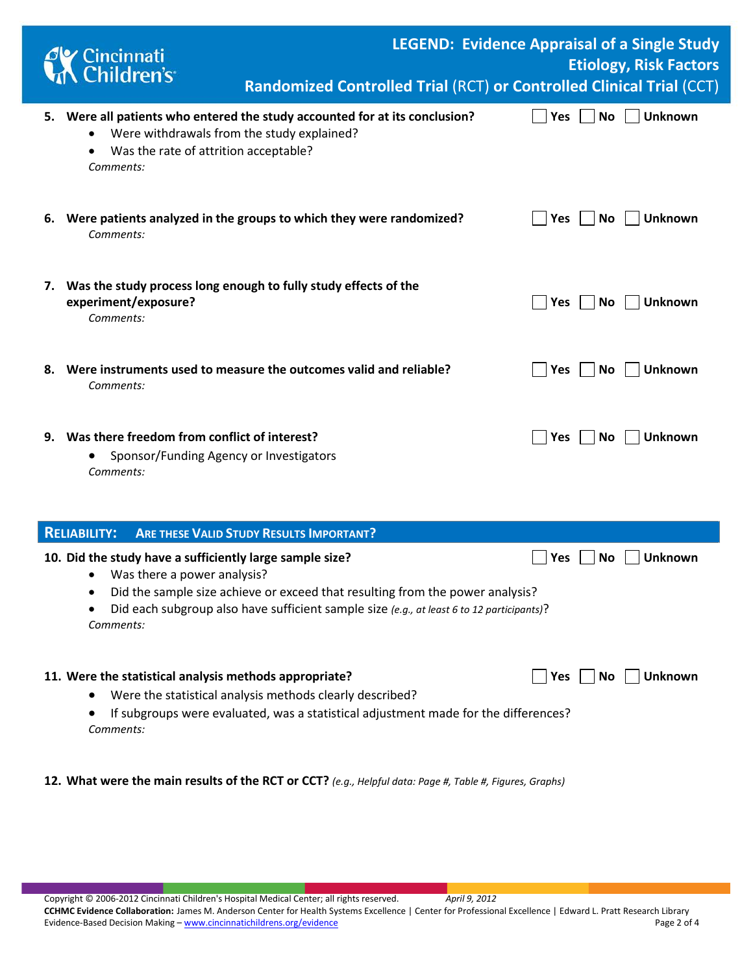|                                                                        | Cincinnati<br>Children's                                                                                                                                                        | Randomized Controlled Trial (RCT) or Controlled Clinical Trial (CCT)                                                                                                       |            | <b>LEGEND: Evidence Appraisal of a Single Study</b><br><b>Etiology, Risk Factors</b> |  |  |  |  |
|------------------------------------------------------------------------|---------------------------------------------------------------------------------------------------------------------------------------------------------------------------------|----------------------------------------------------------------------------------------------------------------------------------------------------------------------------|------------|--------------------------------------------------------------------------------------|--|--|--|--|
|                                                                        | 5. Were all patients who entered the study accounted for at its conclusion?<br>Were withdrawals from the study explained?<br>Was the rate of attrition acceptable?<br>Comments: |                                                                                                                                                                            | <b>Yes</b> | <b>Unknown</b><br><b>No</b>                                                          |  |  |  |  |
|                                                                        | 6. Were patients analyzed in the groups to which they were randomized?<br>Comments:                                                                                             |                                                                                                                                                                            | <b>Yes</b> | <b>Unknown</b><br><b>No</b>                                                          |  |  |  |  |
|                                                                        | 7. Was the study process long enough to fully study effects of the<br>experiment/exposure?<br>Comments:                                                                         |                                                                                                                                                                            | <b>Yes</b> | <b>Unknown</b><br><b>No</b>                                                          |  |  |  |  |
|                                                                        | 8. Were instruments used to measure the outcomes valid and reliable?<br>Comments:                                                                                               |                                                                                                                                                                            | <b>Yes</b> | <b>Unknown</b><br><b>No</b>                                                          |  |  |  |  |
|                                                                        | 9. Was there freedom from conflict of interest?<br>Sponsor/Funding Agency or Investigators<br>Comments:                                                                         |                                                                                                                                                                            | Yes        | <b>Unknown</b><br>No                                                                 |  |  |  |  |
| <b>RELIABILITY:</b><br><b>ARE THESE VALID STUDY RESULTS IMPORTANT?</b> |                                                                                                                                                                                 |                                                                                                                                                                            |            |                                                                                      |  |  |  |  |
|                                                                        | 10. Did the study have a sufficiently large sample size?<br>Was there a power analysis?<br>$\bullet$<br>$\bullet$<br>Comments:                                                  | Did the sample size achieve or exceed that resulting from the power analysis?<br>Did each subgroup also have sufficient sample size (e.g., at least 6 to 12 participants)? | Yes        | Unknown<br><b>No</b>                                                                 |  |  |  |  |

## 11. Were the statistical analysis methods appropriate? **The Contract Contract Analysis methods appropriate? Wese** The No Tunknown

- Were the statistical analysis methods clearly described?
- If subgroups were evaluated, was a statistical adjustment made for the differences? *Comments:*
- **12. What were the main results of the RCT or CCT?** *(e.g., Helpful data: Page #, Table #, Figures, Graphs)*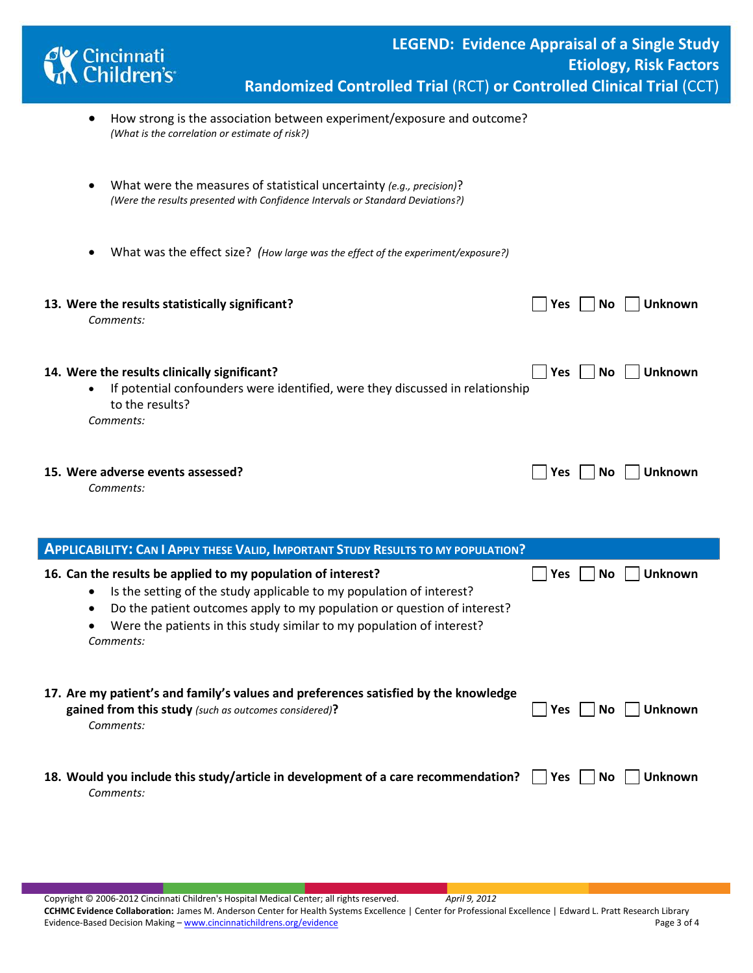| <b>Cy Cincinnati</b><br><b>M</b> Children's                                                                                                                                                                                                                                                                     | <b>LEGEND: Evidence Appraisal of a Single Study</b><br><b>Etiology, Risk Factors</b><br>Randomized Controlled Trial (RCT) or Controlled Clinical Trial (CCT) |
|-----------------------------------------------------------------------------------------------------------------------------------------------------------------------------------------------------------------------------------------------------------------------------------------------------------------|--------------------------------------------------------------------------------------------------------------------------------------------------------------|
| How strong is the association between experiment/exposure and outcome?<br>(What is the correlation or estimate of risk?)                                                                                                                                                                                        |                                                                                                                                                              |
| What were the measures of statistical uncertainty (e.g., precision)?<br>(Were the results presented with Confidence Intervals or Standard Deviations?)                                                                                                                                                          |                                                                                                                                                              |
| What was the effect size? (How large was the effect of the experiment/exposure?)                                                                                                                                                                                                                                |                                                                                                                                                              |
| 13. Were the results statistically significant?<br>Comments:                                                                                                                                                                                                                                                    | No<br><b>Unknown</b><br>Yes $ $                                                                                                                              |
| 14. Were the results clinically significant?<br>If potential confounders were identified, were they discussed in relationship<br>to the results?<br>Comments:                                                                                                                                                   | <b>Unknown</b><br> Yes<br><b>No</b>                                                                                                                          |
| 15. Were adverse events assessed?<br>Comments:                                                                                                                                                                                                                                                                  | Yes <br><b>No</b><br><b>Unknown</b>                                                                                                                          |
| <b>APPLICABILITY: CAN I APPLY THESE VALID, IMPORTANT STUDY RESULTS TO MY POPULATION?</b>                                                                                                                                                                                                                        |                                                                                                                                                              |
| 16. Can the results be applied to my population of interest?<br>Is the setting of the study applicable to my population of interest?<br>٠<br>Do the patient outcomes apply to my population or question of interest?<br>٠<br>Were the patients in this study similar to my population of interest?<br>Comments: | Yes<br>No<br><b>Unknown</b>                                                                                                                                  |
| 17. Are my patient's and family's values and preferences satisfied by the knowledge<br>gained from this study (such as outcomes considered)?<br>Comments:                                                                                                                                                       | <b>Unknown</b><br>No<br>Yes $\vert$                                                                                                                          |
| 18. Would you include this study/article in development of a care recommendation? $\Box$ Yes $\Box$<br>Comments:                                                                                                                                                                                                | No<br><b>Unknown</b>                                                                                                                                         |